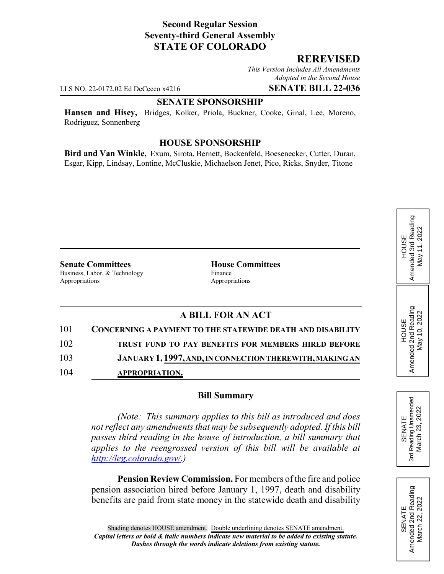## **Second Regular Session Seventy-third General Assembly STATE OF COLORADO**

### **REREVISED**

*This Version Includes All Amendments Adopted in the Second House*

LLS NO. 22-0172.02 Ed DeCecco x4216 **SENATE BILL 22-036**

**SENATE SPONSORSHIP**

**Hansen and Hisey,** Bridges, Kolker, Priola, Buckner, Cooke, Ginal, Lee, Moreno, Rodriguez, Sonnenberg

#### **HOUSE SPONSORSHIP**

**Bird and Van Winkle,** Exum, Sirota, Bernett, Bockenfeld, Boesenecker, Cutter, Duran, Esgar, Kipp, Lindsay, Lontine, McCluskie, Michaelson Jenet, Pico, Ricks, Snyder, Titone

**Senate Committees House Committees** Business, Labor, & Technology Finance Appropriations Appropriations

# **A BILL FOR AN ACT**

| 101 | <b>CONCERNING A PAYMENT TO THE STATEWIDE DEATH AND DISABILITY</b> |
|-----|-------------------------------------------------------------------|
| 102 | TRUST FUND TO PAY BENEFITS FOR MEMBERS HIRED BEFORE               |
| 103 | JANUARY 1, 1997, AND, IN CONNECTION THEREWITH, MAKING AN          |
| 104 | <b>APPROPRIATION.</b>                                             |

#### **Bill Summary**

*(Note: This summary applies to this bill as introduced and does not reflect any amendments that may be subsequently adopted. If this bill passes third reading in the house of introduction, a bill summary that applies to the reengrossed version of this bill will be available at http://leg.colorado.gov/.)*

**Pension Review Commission.** For members of the fire and police pension association hired before January 1, 1997, death and disability benefits are paid from state money in the statewide death and disability

Reading Unamended 3rd Reading Unamended March 23, 2022 March 23, 2022 SENATE 3rd

HOUSE<br>Amended 3rd Reading Amended 3rd Reading May 11, 2022

May 11, 2022

HOUSE Amended 2nd Reading May 10, 2022

Amended 2nd Reading<br>May 10, 2022

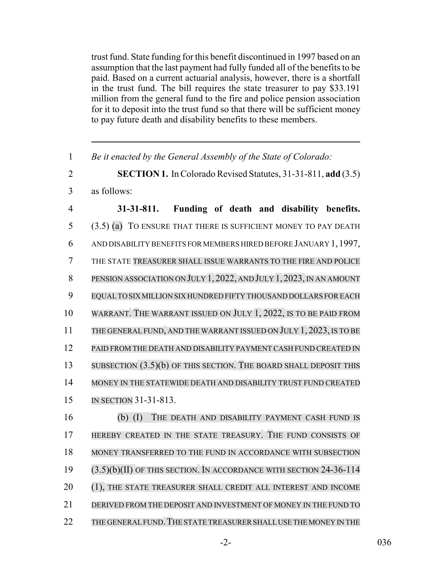trust fund. State funding for this benefit discontinued in 1997 based on an assumption that the last payment had fully funded all of the benefits to be paid. Based on a current actuarial analysis, however, there is a shortfall in the trust fund. The bill requires the state treasurer to pay \$33.191 million from the general fund to the fire and police pension association for it to deposit into the trust fund so that there will be sufficient money to pay future death and disability benefits to these members.

1 *Be it enacted by the General Assembly of the State of Colorado:*

2 **SECTION 1.** In Colorado Revised Statutes, 31-31-811, **add** (3.5) 3 as follows:

 **31-31-811. Funding of death and disability benefits.** (3.5) (a) TO ENSURE THAT THERE IS SUFFICIENT MONEY TO PAY DEATH AND DISABILITY BENEFITS FOR MEMBERS HIRED BEFORE JANUARY 1,1997, THE STATE TREASURER SHALL ISSUE WARRANTS TO THE FIRE AND POLICE PENSION ASSOCIATION ON JULY 1, 2022, AND JULY 1, 2023, IN AN AMOUNT EQUAL TO SIX MILLION SIX HUNDRED FIFTY THOUSAND DOLLARS FOR EACH WARRANT. THE WARRANT ISSUED ON JULY 1, 2022, IS TO BE PAID FROM 11 THE GENERAL FUND, AND THE WARRANT ISSUED ON JULY 1, 2023, IS TO BE PAID FROM THE DEATH AND DISABILITY PAYMENT CASH FUND CREATED IN 13 SUBSECTION (3.5)(b) OF THIS SECTION. THE BOARD SHALL DEPOSIT THIS MONEY IN THE STATEWIDE DEATH AND DISABILITY TRUST FUND CREATED IN SECTION 31-31-813. (b) (I) THE DEATH AND DISABILITY PAYMENT CASH FUND IS HEREBY CREATED IN THE STATE TREASURY. THE FUND CONSISTS OF MONEY TRANSFERRED TO THE FUND IN ACCORDANCE WITH SUBSECTION (3.5)(b)(II) OF THIS SECTION. IN ACCORDANCE WITH SECTION 24-36-114 20 (1), THE STATE TREASURER SHALL CREDIT ALL INTEREST AND INCOME DERIVED FROM THE DEPOSIT AND INVESTMENT OF MONEY IN THE FUND TO 22 THE GENERAL FUND. THE STATE TREASURER SHALL USE THE MONEY IN THE